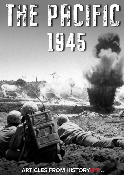

*The Pacific: 1945* HISTORY**HIT**.COM

1945

**ARTICLES FROM HISTORY HIT.com** 

1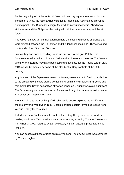By the beginning of 1945 the Pacific War had been raging for three years. On the borders of Burma, the recent Allied victories at Imphal and Kohima had proven a turning point in the Burma Campaign. Meanwhile in Southeast Asia, Allied naval victories around the Philippines had crippled both the Japanese navy and the air force.

The Allies had now turned their attention north, to securing a series of islands that were situated between the Philippines and the Japanese mainland. These included the islands of Iwo Jima and Okinawa.

Just as they had done defending islands in previous years (like Peleliu), the Japanese transformed Iwo Jima and Okinawa into bastions of defence. The Second World War in Europe may have been coming to a close, but the Pacific War in early 1945 was to be marked by some of the bloodiest military conflicts of the 20th century.

Any invasion of the Japanese mainland ultimately never came to fruition, partly due to the dropping of the two atomic bombs on Hiroshima and Nagasaki 75 years ago this month (the Soviet declaration of war on Japan on 9 August was also significant). The Japanese government and Allied forces would sign the Japanese Instrument of Surrender on 2 September 1945.

From Iwo Jima to the Bombing of Hiroshima this eBook explores the Pacific War theatre of World War Two in 1945. Detailed articles explain key topics, edited from various History Hit resources.

Included in this eBook are articles written for History Hit by some of the world's leading World War Two naval and aviation historians, including Thomas Cleaver and Tim Hillier-Graves. Features written by History Hit staff past and present are also included.

You can access all these articles on historyhit.com. *The Pacific: 1945* was compiled by Tristan Hughes.

2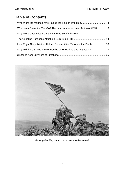### **Table of Contents**

| What Was Operation Ten-Go? The Last Japanese Naval Action of WW2  6    |  |
|------------------------------------------------------------------------|--|
|                                                                        |  |
|                                                                        |  |
| How Royal Navy Aviators Helped Secure Allied Victory in the Pacific 18 |  |
|                                                                        |  |
|                                                                        |  |



*'Raising the Flag on Iwo Jima', by Joe Rosenthal.*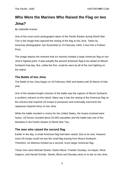# <span id="page-3-0"></span>**Who Were the Marines Who Raised the Flag on Iwo Jima?**

*By Gabrielle Kramer*

One of the most iconic photographs taken of the Pacific theatre during World War Two is the image that captured the raising of the flag at Iwo Jima. Taken by American photographer Joe Rosenthal on 23 February 1945, it won him a Pulitzer Prize.

The image depicts the moment that six marines hoisted a large American flag on Iwo Jima's highest point. It was actually the second American flag to be raised on Mount Suribachi that day. But, unlike the first, could be seen by all of the men fighting on the island.

#### **The Battle of Iwo Jima**

The Battle of Iwo Jima began on 19 February 1945 and lasted until 26 March of that year.

One of the hardest-fought victories of the battle was the capture of Mount Suribachi, a southern volcano on the island. Many say it was the raising of the American flag on the volcano that inspired US troops to persevere and eventually overcome the Japanese Imperial Army on Iwo Jima.

While the battle resulted in victory for the United States, the losses involved were heavy. US forces counted about 20,000 casualties and the battle was one of the bloodiest in the Pacific theatre of World War Two.

#### **The men who raised the second flag**

Earlier in the day, a small American flag had been raised. Due to its size, however, most US troops could not see the small flag waving from Mount Suribachi. Therefore, six Marines hoisted up a second, much larger American flag.

These men were Michael Strank, Harlon Block, Franklin Sousley, Ira Hayes, Rene Gagnon, and Harold Schultz. Strank, Block and Sousley went on to die on Iwo Jima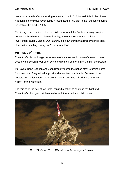less than a month after the raising of the flag. Until 2016, Harold Schultz had been misidentified and was never publicly recognised for his part in the flag raising during his lifetime. He died in 1995.

Previously, it was believed that the sixth man was John Bradley, a Navy hospital corpsman. Bradley's son, James Bradley, wrote a book about his father's involvement called *Flags of Our Fathers*. It is now known that Bradley senior took place in the first flag raising on 23 February 1945.

#### **An image of triumph**

Rosenthal's historic image became one of the most well-known of the war. It was used by the Seventh War Loan Drive and printed on more than 3.5 millions posters.

Ira Hayes, Rene Gagnon and John Bradley toured the nation after returning home from Iwo Jima. They rallied support and advertised war bonds. Because of the posters and national tour, the Seventh War Loan Drive raised more than \$26.3 million for the war effort.

The raising of the flag at Iwo Jima inspired a nation to continue the fight and Rosenthal's photograph still resonates with the American public today.



*The U.S Marine Corps War Memorial in Arlington, Virginia.*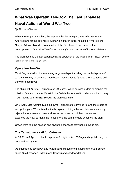### <span id="page-5-0"></span>**What Was Operatin Ten-Go? The Last Japanese Naval Action of World War Two**

#### *By Thomas Cleaver*

When the Emperor Hirohito, the supreme leader in Japan, was informed of the Army's plans for the defence of Okinawa in March 1945, he asked "Where is the Navy?" Admiral Toyoda, Commander of the Combined Fleet, ordered the development of Operation Ten-Go as the navy's contribution to Okinawa's defence.

The plan became the last Japanese naval operation of the Pacific War, known as the Battle of the East China Sea.

#### **Operation Ten-Go**

*Ten-ichi-go* called for the remaining large warships, including the battleship *Yamato*, to fight their way to Okinawa, then beach themselves to fight as shore batteries until they were destroyed.

The ships left Kure for Tokuyama on 29 March. While obeying orders to prepare the mission, fleet commander Vice-Admiral Seiichi Ito, refused to order his ships to carry it out, having told Admiral Toyoda the plan was futile.

On 5 April, Vice Admiral Kusaka flew to Tokuyama to convince Ito and the others to accept the plan. When Kusaka finally explained things, Ito's captains unanimously rejected it as a waste of lives and resources. Kusaka told them the emperor expected the navy to make their best effort; the commanders accepted the plan.

Crews were told the mission and given the chance to stay behind. None did.

#### **The Yamato sets sail for Okinawa**

At 16:00 on 6 April, the battleship *Yamato*, light cruiser *Yahagi* and eight destroyers departed Tokuyama.

US submarines *Threadfin* and *Hackleback* sighted them steaming through Bungo Suido Strait between Shikoku and Honshu and shadowed them.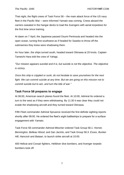That night, the flight crews of Task Force 58 – the main attack force of the US navy fleet in the Pacific War – were informed *Yamato* was coming. Crews aboard the carriers sweated in the hangar decks to load the Avengers with aerial torpedoes for the first time since training.

At dawn on 7 April, the Japanese passed Osumi Peninsula and headed into the open ocean, turning first southwest as if headed for Sasebo to throw off the submarines they knew were shadowing them.

An hour later, the ships turned south, headed toward Okinawa at 20 knots. Captain Tameichi Hara told the crew of *Yahagi*,

*"Our mission appears suicidal and it is, but suicide is not the objective. The objective is victory.*

*Once this ship is crippled or sunk, do not hesitate to save yourselves for the next fight. We can commit suicide at any time. But we are going on this mission not to commit suicide but to win, and turn the tide of war."*

#### **Task Force 58 prepares to engage**

At 06:00, American search planes found the fleet. At 10:00, Admiral Ito ordered a turn to the west as if they were withdrawing. By 11:30 it was clear they could not evade the shadowing aircraft and they turned toward Okinawa.

Fifth Fleet commander Admiral Spruance received the first definite sighting reports shortly after 09:00. He ordered the fleet's eight battleships to prepare for a surface engagement with *Yamato*.

Task Force 58 commander Admiral Mitscher ordered Task Group 58.1: *Hornet, Bennington, Belleau Wood*, and *San Jacinto*, and Task Group 58.3: *Essex, Bunker Hill, Hancock* and *Bataan*, to launch strike aircraft at 10:00.

400 Hellcat and Corsair fighters, Helldiver dive bombers, and Avenger torpedo bombers took off.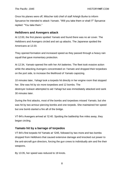Once his planes were off, Mitscher told chief of staff Arleigh Burke to inform Spruance he intended to attack *Yamato*. "Will you take them or shall I?" Spruance replied: "You take them."

#### **Helldivers and Avengers attack**

At 12:00, the first planes spotted *Yamato* and found there was no air cover. The Helldivers and Avengers circled and set up attacks. The Japanese spotted the Americans at 12:20.

They opened formation and increased speed as they passed through a heavy rain squall that gave momentary protection.

At 12:34, *Yamato* opened fire with her AA batteries. The fleet took evasive action while the attacking Avengers concentrated on *Yamato* and dropped their torpedoes on the port side, to increase the likelihood of *Yamato* capsizing.

10 minutes later, *Yahagi* took a torpedo hit directly in her engine room that stopped her. She was hit by six more torpedoes and 12 bombs. The destroyer *Isokaze* attempted to aid *Yahagi* but was immediately attacked and sank 30 minutes later.

During the first attacks, most of the bombs and torpedoes missed *Yamato*, but she was hit by two armour-piercing bombs and one torpedo. She maintained her speed but one bomb started a fire aft of the bridge.

VT-84's Avengers arrived at 12:40. Spotting the battleship five miles away, they began circling.

#### **Yamato hit by a barrage of torpedos**

VT-84's first torpedo hit Yamato at 1245, followed by two more and two bombs dropped from Helldivers that caused extensive damage and knocked out power to the anti-aircraft gun directors, forcing the gun crews to individually aim and fire their weapons.

By 13:35, her speed was reduced to 18 knots.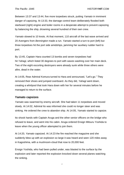Between 13:37 and 13:44, five more torpedoes struck, putting *Yamato* in imminent danger of capsizing. At 13:33, the damage control team deliberately flooded both starboard (right) engine and boiler rooms in a desperate attempt to prevent capsizing by balancing the ship, drowning several hundred of their own crew.

*Yamato* slowed to 10 knots. At that moment, 110 aircraft of the last wave arrived and 20 Avengers from *Bennington* made a run. *Yamato* started a turn to port (left) but three torpedoes hit the port side amidships, jamming her auxiliary rudder hard to port.

By 13:45, Captain Hara counted 13 bombs and seven torpedoes had hit *Yahagi,* which listed 30 degrees to port with waves washing over her main deck. Two of the eight escorting destroyers were already sunk while three others were afire, dead in the water.

At 14:05, Rear Admiral Komura turned to Hara and announced, "Let's go." They removed their shoes and jumped overboard. As they did, *Yahagi* went down, creating a whirlpool that took Hara down with her for several minutes before he managed to return to the surface.

#### **Yamato capsizes**

*Yamato* was swarmed by enemy aircraft. She had taken 11 torpedoes and moved slowly. At 14:02, Admiral Ito was informed she could no longer steer and was sinking. He ordered the crew to abandon ship. At 14:05, *Yamato* started to capsize.

Ito shook hands with Captain Aruga and the other senior officers on the bridge who refused to leave, and went into his cabin. Aruga ordered Ensign Mitsuru Yoshida to leave when the young officer attempted to join them.

At 14:20, *Yamato* capsized. At 14:23 the fire reached the magazine and she suddenly blew up with an explosion so large it was heard and seen 120 miles away in Kagoshima, with a mushroom-cloud that rose to 20,000 feet.

Ensign Yoshida, who had been pulled under, was blasted to the surface by the explosion and later reported the explosion knocked down several planes watching the sinking.

 $\overline{ }$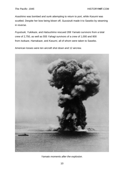*Asashimo* was bombed and sunk attempting to return to port, while *Kasumi* was scuttled. Despite her bow being blown off, *Suzutzuki* made it to Sasebo by steaming in reverse.

*Fuyutsuki, Yukikaze*, and *Hatsushimo* rescued 269 *Yamato* survivors from a total crew of 2,750, as well as 555 *Yahagi* survivors of a crew of 1,000 and 800 from *Isokaze, Hamakaze*, and *Kasumi*, all of whom were taken to Sasebo.

American losses were ten aircraft shot down and 12 aircrew.



*Yamato moments after the explosion.*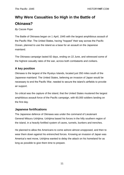# <span id="page-10-0"></span>**Why Were Casualties So High in the Battle of Okinawa?**

*By Cassie Pope*

The Battle of Okinawa began on 1 April, 1945 with the largest amphibious assault of the Pacific War. The United States, having "hopped" their way across the Pacific Ocean, planned to use the island as a base for an assault on the Japanese mainland.

The Okinawa campaign lasted 82 days, ending on 22 June, and witnessed some of the highest casualty rates of the war, across both combatants and civilians.

### **A key position**

Okinawa is the largest of the Ryukyu Islands, located just 350 miles south of the Japanese mainland. The United States, believing an invasion of Japan would be necessary to end the Pacific War, needed to secure the island's airfields to provide air support.

So critical was the capture of the island, that the United States mustered the largest amphibious assault force of the Pacific campaign, with 60,000 soldiers landing on the first day.

#### **Japanese fortifications**

The Japanese defence of Okinawa was under the command of Lieutenant General Mitsuru Ushijima. Ushijima based his forces in the hilly southern region of the island, in a heavily fortified system of caves, tunnels, bunkers and trenches.

He planned to allow the Americans to come ashore almost unopposed, and then to wear them down against his entrenched forces. Knowing an invasion of Japan was America's next move, Ushijima wanted to delay the attack on his homeland for as long as possible to give them time to prepare.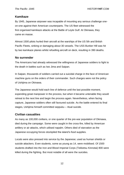*The Pacific: 1945* **HISTORYHIT**.COM

#### **Kamikaze**

By 1945, Japanese airpower was incapable of mounting any serious challenge oneon-one against their American counterparts. The US fleet witnessed the first organised kamikaze attacks at the Battle of Leyte Gulf. At Okinawa, they came en masse.

Almost 1500 pilots hurled their aircraft at the warships of the US 5th and British Pacific Fleets, sinking or damaging about 30 vessels. The USS Bunker Hill was hit by two kamikaze planes whilst refuelling aircraft on deck, resulting in 390 deaths.

#### **No surrender**

The Americans had already witnessed the willingness of Japanese soldiers to fight to the death in battles such as Iwo Jima and Saipan.

In Saipan, thousands of soldiers carried out a suicidal charge in the face of American machine guns on the orders of their commander. Such charges were not the policy of Ushijima on Okinawa.

The Japanese would hold each line of defence until the last possible moment, expending great manpower in the process, but when it became untenable they would retreat to the next line and begin the process again. Nevertheless, when facing capture, Japanese soldiers often still favoured suicide. As the battle entered its final stages, Ushijima himself committed seppuku – ritual suicide.

#### **Civilian casualties**

As many as 100,000 civilians, or one quarter of the pre-war population of Okinawa, died during the campaign. Some were caught in the cross-fire, killed by American artillery or air attacks, which utilised napalm. Others died of starvation as the Japanese occupying forces stockpiled the island's food supplies.

Locals were also pressed into service by the Japanese; used as human shields or suicide attackers. Even students, some as young as 14, were mobilised. Of 1500 students drafted into the Iron and Blood Imperial Corps (Tekketsu Kinnotai) 800 were killed during the fighting. But most notable of all were the suicides.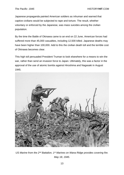Japanese propaganda painted American soldiers as inhuman and warned that captive civilians would be subjected to rape and torture. The result, whether voluntary or enforced by the Japanese, was mass suicides among the civilian population.

By the time the Battle of Okinawa came to an end on 22 June, American forces had suffered more than 45,000 casualties, including 12,500 killed. Japanese deaths may have been higher than 100,000. Add to this the civilian death toll and the terrible cost of Okinawa becomes clear.

This high toll persuaded President Truman to look elsewhere for a means to win the war, rather than send an invasion force to Japan. Ultimately, this was a factor in the approval of the use of atomic bombs against Hiroshima and Nagasaki in August 1945.



*US Marine from the 2nd Battalion, 1st Marines on Wana Ridge provides covering fire. May 18, 1945.*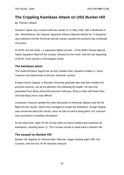### <span id="page-13-0"></span>**The Crippling Kamikaze Attack on USS Bunker Hill**

*By Thomas Cleaver*

Southern Japan was covered with low clouds on 11 May 1945, with a likelihood of rain. Nevertheless, the Imperial Japanese *Kikusui (Special Attack) No. 6* Squadron was ordered to hit the American aircraft carriers spotted the previous day southeast of Kyushu.

At 06:00, the first *Zeke* – a Japanese fighter aircraft – of the 306th Showa Special Attack Squadron lifted off the runway, followed by five more, with the last departing at 06:53. Each carried a 250-kilogram bomb.

#### **The kamikaze pilots**

The small formation stayed low as they headed east. Squadron leader Lt. Seizo Yasunori was determined to find the American carriers.

Ensign Kiyoshi Ogawa, a Waseda University graduate who had been drafted the previous summer, put all his attention into following his leader. He had only graduated from flying school the previous February; flying a *Zeke* with fewer than 150 total flying hours was difficult.

Lieutenant Yasunori spotted the dark silhouettes of American fighters and led his flight into the clouds, where they managed to evade the defenders. Ensign Ogawa was concerned about the clouds, since he had no skill at flying blind, but Yasunori was successful in evading interception.

At the same time, eight VF-84 Corsair pilots on patrol spotted and surprised 30 kamikazes, shooting down 11. The Corsairs turned to head back to *Bunker Hill*.

#### **The assault on Bunker Hill**

*Bunker Hill*, flagship for Admiral Marc Mitscher, began landing eight VMF-451 Corsairs, with the two VF-84 divisions inbound.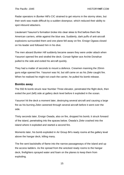Radar operators in *Bunker Hill's* CIC strained to get returns in the stormy skies, but their work was made difficult by a sudden downpour, which reduced their ability to spot inbound attackers.

Lieutenant Yasunori's formation broke into clear skies to find before them the American carriers, white against the blue sea. Suddenly, dark puffs of anti-aircraft explosions surrounded them and one plane fell away on fire. Ensign Ogawa closed on his leader and followed him in his dive.

The men aboard *Bunker Hill* suddenly became aware they were under attack when Yasunori opened fire and strafed the deck. Corsair fighter ace Archie Donahue pulled to the side and exited his aircraft quickly.

They had a matter of seconds to mount a defence. Crewmen manning the 20mm guns edge opened fire. Yasunori was hit, but still came on as his *Zeke* caught fire. When he realised he might not crash the carrier, he pulled his bomb release.

#### **Bombs away**

The 550 lb bomb struck near Number Three elevator, penetrated the flight deck, then exited the port (left) side at gallery deck level before it exploded in the ocean.

Yasunori hit the deck a moment later, destroying several aircraft and causing a large fire as his burning *Zeke* careened through several aircraft before it went over the side.

Thirty seconds later, Ensign Owada, also on fire, dropped his bomb; it struck forward of the island, penetrating into the spaces below. Owada's *Zeke* crashed into the island where it exploded and started a second fire.

Moments later, his bomb exploded in Air Group 84's ready rooms at the gallery level above the hangar deck, killing many.

The fire sent backdrafts of flame into the narrow passageways of the island and up the access ladders. As fire spread from the wrecked ready rooms to the hangar deck, firefighters sprayed water and foam on the planes to keep them from exploding.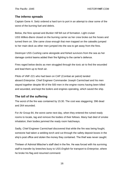#### **The inferno spreads**

Captain Gene A. Seitz ordered a hard turn to port in an attempt to clear some of the worst of the burning fuel and debris.

Below, the fires spread and *Bunker Hill* fell out of formation. Light cruiser USS *Wilkes-Barre* closed on the burning carrier as her crew broke out fire hoses and turned them on. She came close enough that men trapped on the catwalks jumped to her main deck as other men jumped into the sea to get away from the fires.

Destroyer USS *Cushing* came alongside and fished survivors from the sea as her damage control teams added their fire fighting to the carrier's defence.

Fires raged below decks as men struggled through the toxic air to find the wounded and lead them up to fresh air.

Pilots of VMF-221 who had been on CAP (Combat air patrol) landed aboard *Enterprise*. Chief Engineer Commander Joseph Carmichael and his men stayed together despite 99 of the 500 men in the engine rooms having been killed and wounded, and kept the boilers and engines operating, which saved the ship.

#### **The toll of the suffering**

The worst of the fire was contained by 15:30. The cost was staggering: 396 dead and 264 wounded.

For Air Group 84, the worst came next day, when they entered the ruined ready rooms to locate, tag and remove the bodies of their fellows. Many had died of smoke inhalation; their bodies jammed the ready room hatchways.

Sadly, Chief Engineer Carmichael discovered that while the fire was being fought, someone had taken a welding torch and cut through the safety deposit boxes in the ship's post office and stolen the money they contained. The thief was never caught.

Thirteen of Admiral Mitscher's staff died in the fire. He was forced with his surviving staff to transfer by breeches buoy to USS *English* for transport to *Enterprise*, where he broke his flag and resumed command.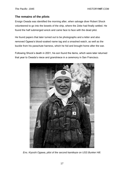#### **The remains of the pilots**

Ensign Owada was identified the morning after, when salvage diver Robert Shock volunteered to go into the bowels of the ship, where the Zeke had finally settled. He found the half submerged wreck and came face to face with the dead pilot.

He found papers that later turned out to be photographs and a letter and also removed Ogawa's blood-soaked name tag and a smashed watch, as well as the buckle from his parachute harness, which he hid and brought home after the war.

Following Shock's death in 2001, his son found the items, which were later returned that year to Owada's niece and grandniece in a ceremony in San Francisco.



*Ens. Kiyoshi Ogawa, pilot of the second kamikaze on USS Bunker Hill.*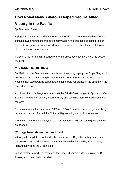# <span id="page-17-0"></span>**How Royal Navy Aviators Helped Secure Allied Victory in the Pacific**

#### *By Tim Hillier-Graves*

Flying from an aircraft carrier in the Second World War was the most dangerous of pursuits. Even without the threat of enemy action, the likelihood of being killed or maimed was great and when faced with a determined foe, the chances of survival diminished even more quickly.

It wasn't a life for the faint-hearted or the unskilled; naval aviators were the best of the best.

#### **The British Pacific Fleet**

By 1944, with the German seaborne threat diminishing rapidly, the Royal Navy could concentrate its carrier strength in the Far East. Here the Americans were island hopping their way towards Japan and meeting great resistance in the air and on the ground on the way.

And it was into this dangerous world that the British Fleet plunged to fight and suffer. But the aircrews didn't flinch, fought bravely and sustained terrible casualties along the way.

Foremost amongst all them were 1839 and 1844 Squadrons, which together, flying Grumman Hellcats, formed the 5<sup>th</sup> Naval Fighter Wing on HMS Indomitable.

From mid-1944 to the last days of the war they fought with supreme gallantry and to great effect.

#### **'Engage from above, fast and hard'**

Although these pilots fought under the banner of the Royal Navy they were, in fact, a multinational force. There were men from New Zealand, Canada, South Africa, Holland as well as the British Isles.

But no matter from where they came they needed certain skills to survive, as Bill Foster, a pilot with 1844, recalled: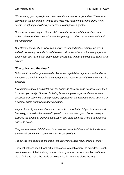*"Experience, good eyesight and quick reactions mattered a great deal. The novice saw little in the air and took time to see what was happening around them. When new to air fighting everything just seemed to happen too quickly.*

*Some never really acquired these skills no matter how hard they tried and were picked off before they knew what was happening. To others it came naturally and they prospered.*

*Our Commanding Officer, who was a very experienced fighter pilot by the time I arrived, constantly reminded us of the basic principles of air combat – engage from above, fast and hard, get in close, shoot accurately, aim for the pilot, and climb away quickly.*

#### **'The quick and the dead'**

*But in addition to this, you needed to know the capabilities of your aircraft and how far you could push it. Knowing the strengths and weaknesses of the enemy was also essential.*

*Flying fighters took a heavy toll on your body and there were no pressure suits then to protect you in high G turns. So being fit, avoiding late nights and alcohol were essential. For some this was a problem, especially in the cramped, noisy quarters on a carrier, where drink was readily available.*

*As your hours flying in combat added up so the risk of battle fatigue increased and, inevitably, you had to be taken off operations for your own good. Some managed to disguise the effects of creeping exhaustion and carry on flying when it had become unsafe to do so.*

*They were brave and didn't want to let anyone down, but it was still foolhardy to let them continue. I'm sure some were lost because of this.*

*The saying 'the quick and the dead`, though clichéd, held many grains of truth."*

For most of these men it took 18 months or so to reach a frontline squadron – such was the extent of their training. It was this programme that saw two thirds of them either failing to make the grade or being killed in accidents along the way.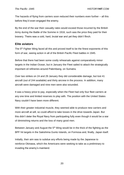The hazards of flying from carriers soon reduced their numbers even further – all this before they'd even engaged the enemy.

By the end of the war their casualty rates would exceed those incurred by the British Army during the Battle of the Somme in 1916, such was the price they paid for their bravery. Theirs was a cold, hard, brutal war and yet they didn't flinch.

#### **Elite aviators**

The 5<sup>th</sup> Fighter Wing faced all this and proved itself to be the finest exponents of this form of war, seeing action in all of the British Pacific Fleet battles in 1945.

Before that there had been some costly rehearsals against comparatively minor targets in the Indian Ocean, but in January the Fleet sailed to attack the strategically important oil refineries around Palembang, on Sumatra.

Over two strikes on 24 and 29 January they did considerable damage, but lost 41 aircraft (out of 244 available) and thirty aircrew in the process. In addition, many aircraft were damaged and nine men were also wounded.

It was a heavy price to pay, especially when the Fleet had only four fleet carriers at any one time and limited reserves to play with. The position with the United States Navy couldn't have been more different.

With their greater industrial muscle, they seemed able to produce new carriers and more aircraft at will, so could afford to take losses in the drive towards Japan. But this didn't deter the Royal Navy from participating fully even though it would be a war of diminishing returns and the loss of many good men.

Between January and August the  $5<sup>th</sup>$  Wing would be in the thick of the fighting as the BPF hit targets in the Sakishima Gunto Islands, on Formosa and, finally, Japan itself.

Initially, their aim was to subdue any efforts being made by the Japanese to reinforce Okinawa, which the Americans were seeking to take as a preliminary to invading the enemy's mainland.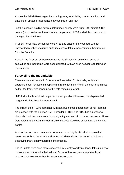And so the British Fleet began hammering away at airfields, port installations and anything of strategic importance between March and May.

But the losses in holding down a determined enemy were huge. 203 aircraft (98 in combat) were lost or written off from a complement of 218 and all the carriers were damaged by Kamikazes.

In all 85 Royal Navy personnel were killed and another 83 wounded, with an unrecorded number of aircrew suffering combat fatigue necessitating their removal from the front line.

Being in the forefront of these operations the  $5<sup>th</sup>$  couldn't avoid their share of casualties and their ranks were soon depleted, with an even heavier load falling on the survivors.

#### **Farewell to the Indomitable**

There was a brief respite in June as the Fleet sailed for Australia, its forward operating base, for essential repairs and replenishment. Within a month it again set sail for the front, with Japan now the sole remaining target.

HMS Indomitable wouldn't be part of these operations however; the ship needed longer in dock to keep her operational.

The bulk of the 5<sup>th</sup> Wing remained with her, but a small detachment of her Hellcats did proceed with the Fleet on HMS Formidable. 1839 and 1844 had a number of pilots who had become specialists in night fighting and photo reconnaissance. These were roles that the Commander-in-Chief believed would be essential in the coming battles.

And so it proved to be. In a matter of weeks these highly skilled pilots provided protection for both the British and American Fleets during the hours of darkness destroying many enemy aircraft in the process.

The PR pilots were even more successful frequently overflying Japan taking many of thousands of pictures that helped plan future strikes and, more importantly, an invasion that two atomic bombs made unnecessary.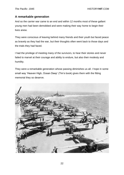#### **A remarkable generation**

And so the carrier war came to an end and within 12 months most of these gallant young men had been demobbed and were making their way home to begin their lives anew.

They were conscious of leaving behind many friends and their youth but faced peace as bravely as they had the war, but their thoughts often went back to those days and the trials they had faced.

I had the privilege of meeting many of the survivors, to hear their stories and never failed to marvel at their courage and ability to endure, but also their modesty and humility.

They were a remarkable generation whose passing diminishes us all. I hope in some small way 'Heaven High, Ocean Deep' (Tim's book) gives them with the fitting memorial they so deserve.

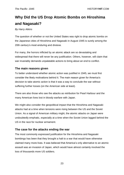# <span id="page-22-0"></span>**Why Did the US Drop Atomic Bombs on Hiroshima and Nagasaki?**

#### *By Harry Atkins*

The question of whether or not the United States was right to drop atomic bombs on the Japanese cities of Hiroshima and Nagasaki in August 1945 is surely among the 20th century's most enduring and divisive.

For many, the horrors inflicted by an atomic attack are so devastating and widespread that there will never be any justification. Others, however, will claim that war invariably demands unpalatable actions to bring about an end to conflict.

#### **The main reasons given**

To better understand whether atomic action was justified in 1945, we must first consider the likely motivations behind it. The main reason given for America's decision to take atomic action is that it was a way to conclude the war without suffering further losses (on the American side at least).

There are also those who see the attacks as retribution for Pearl Harbour and the many American lives lost in bloody warfare with Japan.

We might also consider the geopolitical impact that the Hiroshima and Nagasaki attacks had at a time when tensions were rising between the US and the Soviet Union. As a signal of American military might, the atomic attacks on Japan were undoubtedly emphatic, especially at a time when the Soviet Union lagged behind the US in the race for nuclear armament.

#### **The case for the attacks ending the war**

The most commonly expressed justification for the Hiroshima and Nagasaki bombings has been that they brought a halt to a war that would have otherwise claimed many more lives. It was believed that America's only alternative to an atomic assault was an invasion of Japan, which would have almost certainly involved the loss of thousands more US soldiers.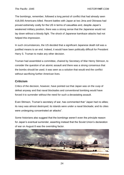The bombings, remember, followed a long period of conflict that had already seen 418,000 Americans killed. Recent battles with Japan at Iwo Jima and Okinawa had proved extremely costly for the US in terms of casualties and, despite Japan's weakened military position, there was a strong sense that the Japanese would not lay down without a bloody fight. The shock of Japanese kamikaze attacks had not helped this impression.

In such circumstances, the US decided that a significant Japanese death toll was a justified means to an end. Indeed, it would have been politically difficult for President Harry S. Truman to make any other decision.

Truman had assembled a committee, chaired by Secretary of War Henry Stimson, to consider the question of an atomic assault and there was a strong consensus that the bombs should be used; it was seen as a solution that would end the conflict without sacrificing further American lives.

#### **Criticism**

Critics of the decision, however, have pointed out that Japan was on the cusp of defeat anyway and that naval blockades and conventional bombing would have forced it to surrender without the need for such a devastating assault.

Even Stimson, Truman's secretary of war, has commented that "Japan had no allies; its navy was almost destroyed; its islands were under a naval blockade; and its cities were undergoing concentrated air attacks".

Some historians also suggest that the bombings weren't even the principle reason for Japan's eventual surrender, asserting instead that the Soviet Union's declaration of war on August 8 was the overriding factor.

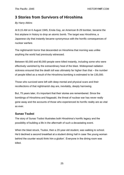### <span id="page-24-0"></span>**3 Stories from Survivors of Hiroshima**

#### *By Harry Atkins*

At 8.15 AM on 6 August 1945, Enola Gay, an American B-29 bomber, became the first airplane in history to drop an atomic bomb. The target was Hiroshima, a Japanese city that instantly became synonymous with the horrific consequences of nuclear warfare.

The nightmarish horror that descended on Hiroshima that morning was unlike anything the world had previously witnessed.

Between 60,000 and 80,000 people were killed instantly, including some who were effectively vanished by the extraordinary heat of the blast. Widespread radiation sickness ensured that the death toll was ultimately far higher than that – the number of people killed as a result of the Hiroshima bombing is estimated to be 135,000.

Those who survived were left with deep mental and physical scars and their recollections of that nightmarish day are, inevitably, deeply harrowing.

But, 75 years later, it's important that their stories are remembered. Since the bombings of Hiroshima and Nagasaki, the threat of nuclear war has never really gone away and the accounts of those who experienced its horrific reality are as vital as ever.

#### **Sunao Tsuboi**

The story of Sunao Tsoboi illustrates both Hiroshima's horrific legacy and the possibility of building a life in the aftermath of such a devastating event.

When the blast struck, Tsuboi, then a 20-year-old student, was walking to school. He'd declined a second breakfast at a student dining hall in case 'the young woman behind the counter would think him a glutton'. Everyone in the dining room was killed.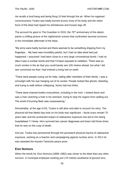He recalls a loud bang and being flung 10 feet through the air. When he regained consciousness Tsuboi was badly burned across most of his body and the sheer force of the blast had ripped his shirtsleeves and trouser legs off.

The account he gave to The Guardian in 2015, the  $70<sup>th</sup>$  anniversary of the attack, paints a chilling picture of the nightmarish scenes that confronted stunned survivors in the immediate aftermath of the blast.

"My arms were badly burned and there seemed to be something dripping from my fingertips… My back was incredibly painful, but I had no idea what had just happened. I assumed I had been close to a very large conventional bomb. I had no idea it was a nuclear bomb and that I'd been exposed to radiation. There was so much smoke in the air that you could barely see 100 metres ahead, but what I did see convinced me that I had entered a living hell on earth.

"There were people crying out for help, calling after members of their family. I saw a schoolgirl with her eye hanging out of its socket. People looked like ghosts, bleeding and trying to walk before collapsing. Some had lost limbs.

"There were charred bodies everywhere, including in the river. I looked down and saw a man clutching a hole in his stomach, trying to stop his organs from spilling out. The smell of burning flesh was overpowering."

Remarkably, at the age of 93, Tsuboi is still alive and able to recount his story. The physical toll that fateful day took on his body was significant – facial scars remain 70 years later and the protracted impact of radioactive exposure has led to him being hospitalised 11 times. He's survived two cancer diagnoses and been told three times that he was on the cusp of death.

And yet, Tsuboi has persevered through the persistent physical trauma of radioactive exposure, working as a teacher and campaigning against nuclear arms. In 2011 he was awarded the Kiyoshi Tanimoto peace prize.

#### **Eizo Nomura**

When the bomb hit, Eizo Nomura (1898–1982) was closer to the blast than any other survivor. A municipal employee working just 170 metres southwest of ground zero,

26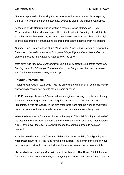Nomura happened to be looking for documents in the basement of his workplace, the Fuel Hall, when the bomb detonated. Everyone else in the building was killed.

At the age of 72, Nomura started writing a memoir, *Waga Omoide no Ki* (My Memories), which included a chapter, titled simply 'Atomic Bombing', that details his experiences on that awful day in 1945. The following excerpt describes the horrifying scenes that greeted Nomura as he emerged, through the flames, from his building.

*Outside, it was dark because of the black smoke. It was about as light as night with a half-moon. I hurried to the foot of Motoyasu Bridge. Right in the middle and on my side of the bridge I saw a naked man lying on his back.*

*Both arms and legs were extended toward the sky, trembling. Something round was burning under his left armpit. The other side of the bridge was obscured by smoke, and the flames were beginning to leap up."*

#### **Tsutomu Yamaguchi**

Tsutomu Yamaguchi (1916-2010) had the unfortunate distinction of being the world's only officially recognised double atomic bomb survivor.

In 1945, Yamaguchi was a 29-year-old naval engineer working for Mitsubishi Heavy Industries. On 6 August he was nearing the conclusion of a business trip to Hiroshima. It was his last day in the city, after three hard months working away from home he was about to return to his wife and son in his hometown, Nagasaki.

When the blast struck, Yamaguchi was on his way to Mitsubishi's shipyard ahead of his last day there. He recalls hearing the drone of an aircraft overhead, then spotting a B-29 flying over the city. He even witnessed the bomb's parachute assisted descent.

As it detonated – a moment Yamaguchi described as resembling "the lightning of a huge magnesium flare" – he flung himself into a ditch. The power of the shock wave was so ferocious that he was hurled from the ground into a nearby potato patch.

He recalled the immediate aftermath in an interview with The Times: "I think I fainted for a while. When I opened my eyes, everything was dark, and I couldn't see much. It